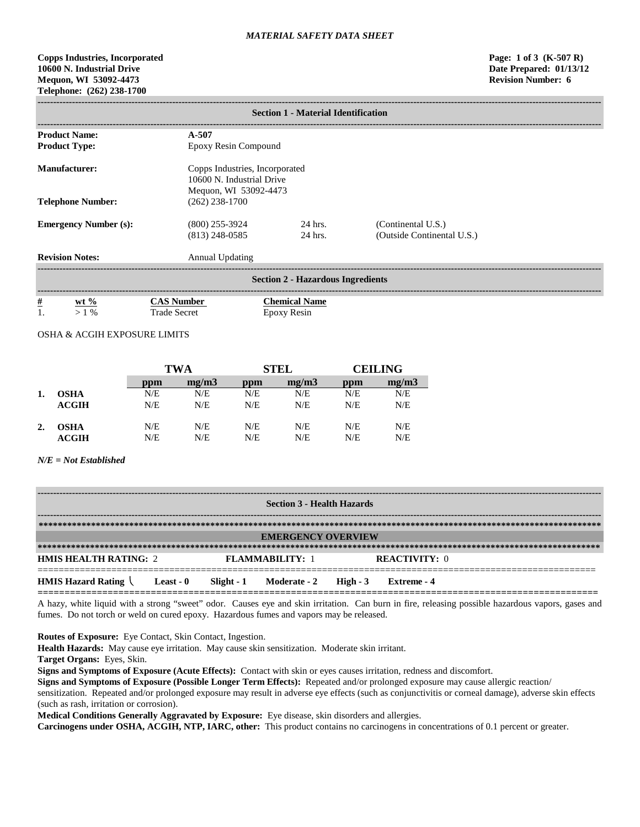# **Copps Industries, Incorporated Page: 1 of 3 (K-507 R) 10600 N. Industrial Drive Date Prepared: 01/13/12 Mequon, WI 53092-4473 Revision Number: 6 Telephone: (262) 238-1700**

| <b>Section 1 - Material Identification</b> |                                                                                      |                      |                                                  |  |  |  |
|--------------------------------------------|--------------------------------------------------------------------------------------|----------------------|--------------------------------------------------|--|--|--|
| <b>Product Name:</b>                       | $A - 507$                                                                            |                      |                                                  |  |  |  |
| <b>Product Type:</b>                       | Epoxy Resin Compound                                                                 |                      |                                                  |  |  |  |
| Manufacturer:                              | Copps Industries, Incorporated<br>10600 N. Industrial Drive<br>Mequon, WI 53092-4473 |                      |                                                  |  |  |  |
| <b>Telephone Number:</b>                   | $(262)$ 238-1700                                                                     |                      |                                                  |  |  |  |
| <b>Emergency Number (s):</b>               | $(800)$ 255-3924<br>$(813)$ 248-0585                                                 | $24$ hrs.<br>24 hrs. | (Continental U.S.)<br>(Outside Continental U.S.) |  |  |  |
| <b>Revision Notes:</b>                     | <b>Annual Updating</b>                                                               |                      |                                                  |  |  |  |
| <b>Section 2 - Hazardous Ingredients</b>   |                                                                                      |                      |                                                  |  |  |  |

| -----                   |                           |                                   |                                                |
|-------------------------|---------------------------|-----------------------------------|------------------------------------------------|
| $\underline{\#}$<br>. . | $\frac{6}{6}$<br>wt<br>0/ | mhor<br>secre<br><b>rade</b><br>. | `hemical<br>Name<br>Resin<br>EDOX <sup>V</sup> |

# OSHA & ACGIH EXPOSURE LIMITS

|    |             | TWA |       |     | <b>STEL</b> | <b>CEILING</b> |       |
|----|-------------|-----|-------|-----|-------------|----------------|-------|
|    |             | ppm | mg/m3 | ppm | mg/m3       | ppm            | mg/m3 |
|    | <b>OSHA</b> | N/E | N/E   | N/E | N/E         | N/E            | N/E   |
|    | ACGIH       | N/E | N/E   | N/E | N/E         | N/E            | N/E   |
| 2. | <b>OSHA</b> | N/E | N/E   | N/E | N/E         | N/E            | N/E   |
|    | ACGIH       | N/E | N/E   | N/E | N/E         | N/E            | N/E   |

## *N/E = Not Established*

| <b>Section 3 - Health Hazards</b> |           |  |                                  |  |                      |  |
|-----------------------------------|-----------|--|----------------------------------|--|----------------------|--|
|                                   |           |  |                                  |  |                      |  |
|                                   |           |  | <b>EMERGENCY OVERVIEW</b>        |  |                      |  |
|                                   |           |  |                                  |  |                      |  |
| <b>HMIS HEALTH RATING: 2</b>      |           |  | <b>FLAMMARILITY: 1</b>           |  | <b>REACTIVITY:</b> 0 |  |
| <b>HMIS Hazard Rating</b>         | Least - 0 |  | Slight - 1 Moderate - 2 High - 3 |  | – Extreme - 4        |  |

A hazy, white liquid with a strong "sweet" odor. Causes eye and skin irritation. Can burn in fire, releasing possible hazardous vapors, gases and fumes. Do not torch or weld on cured epoxy. Hazardous fumes and vapors may be released.

**Routes of Exposure:** Eye Contact, Skin Contact, Ingestion.

**Health Hazards:** May cause eye irritation. May cause skin sensitization. Moderate skin irritant.

**Target Organs:** Eyes, Skin.

**Signs and Symptoms of Exposure (Acute Effects):** Contact with skin or eyes causes irritation, redness and discomfort.

**Signs and Symptoms of Exposure (Possible Longer Term Effects):** Repeated and/or prolonged exposure may cause allergic reaction/

sensitization. Repeated and/or prolonged exposure may result in adverse eye effects (such as conjunctivitis or corneal damage), adverse skin effects (such as rash, irritation or corrosion).

**Medical Conditions Generally Aggravated by Exposure:** Eye disease, skin disorders and allergies.

**Carcinogens under OSHA, ACGIH, NTP, IARC, other:** This product contains no carcinogens in concentrations of 0.1 percent or greater.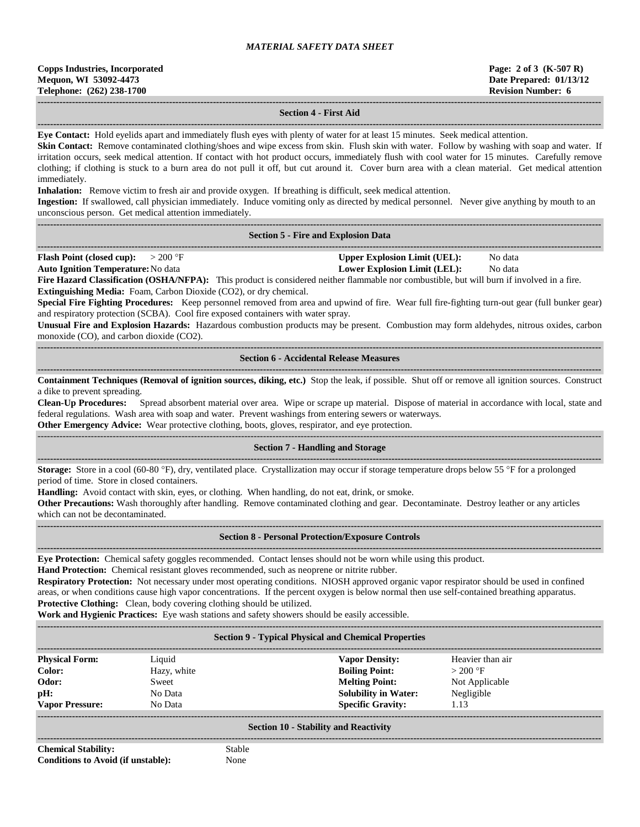| <b>Copps Industries, Incorporated</b> |  |  |  |  |
|---------------------------------------|--|--|--|--|
| Mequon, WI 53092-4473                 |  |  |  |  |
| Telephone: (262) 238-1700             |  |  |  |  |

### **------------------------------------------------------------------------------------------------------------------------------------------------------------------------------------ Section 4 - First Aid**

**------------------------------------------------------------------------------------------------------------------------------------------------------------------------------------ Eye Contact:** Hold eyelids apart and immediately flush eyes with plenty of water for at least 15 minutes. Seek medical attention.

**Skin Contact:** Remove contaminated clothing/shoes and wipe excess from skin. Flush skin with water. Follow by washing with soap and water. If irritation occurs, seek medical attention. If contact with hot product occurs, immediately flush with cool water for 15 minutes. Carefully remove clothing; if clothing is stuck to a burn area do not pull it off, but cut around it. Cover burn area with a clean material. Get medical attention immediately.

**Inhalation:** Remove victim to fresh air and provide oxygen. If breathing is difficult, seek medical attention.

**Ingestion:** If swallowed, call physician immediately. Induce vomiting only as directed by medical personnel. Never give anything by mouth to an unconscious person. Get medical attention immediately.

| <b>Section 5 - Fire and Explosion Data</b> |  |
|--------------------------------------------|--|

**------------------------------------------------------------------------------------------------------------------------------------------------------------------------------------ Flash Point (closed cup):**  $> 200 \text{ }^{\circ}\text{F}$  **Upper Explosion Limit (UEL):** No data

**Auto Ignition Temperature:**No data **Lower Explosion Limit (LEL):** No data

Fire Hazard Classification (OSHA/NFPA): This product is considered neither flammable nor combustible, but will burn if involved in a fire. **Extinguishing Media:** Foam, Carbon Dioxide (CO2), or dry chemical.

**Special Fire Fighting Procedures:** Keep personnel removed from area and upwind of fire. Wear full fire-fighting turn-out gear (full bunker gear) and respiratory protection (SCBA). Cool fire exposed containers with water spray.

**Unusual Fire and Explosion Hazards:** Hazardous combustion products may be present. Combustion may form aldehydes, nitrous oxides, carbon monoxide (CO), and carbon dioxide (CO2).

**------------------------------------------------------------------------------------------------------------------------------------------------------------------------------------ Section 6 - Accidental Release Measures**

**------------------------------------------------------------------------------------------------------------------------------------------------------------------------------------ Containment Techniques (Removal of ignition sources, diking, etc.)** Stop the leak, if possible. Shut off or remove all ignition sources. Construct a dike to prevent spreading.

**Clean-Up Procedures:** Spread absorbent material over area. Wipe or scrape up material. Dispose of material in accordance with local, state and federal regulations. Wash area with soap and water. Prevent washings from entering sewers or waterways.

**Other Emergency Advice:** Wear protective clothing, boots, gloves, respirator, and eye protection.

#### ------------------------------------------------------------------------------------------------------------------------------------------------------------------------------------ **Section 7 - Handling and Storage**

**------------------------------------------------------------------------------------------------------------------------------------------------------------------------------------ Storage:** Store in a cool (60-80 °F), dry, ventilated place. Crystallization may occur if storage temperature drops below 55 °F for a prolonged period of time. Store in closed containers.

**Handling:** Avoid contact with skin, eyes, or clothing. When handling, do not eat, drink, or smoke.

**Other Precautions:** Wash thoroughly after handling. Remove contaminated clothing and gear. Decontaminate. Destroy leather or any articles which can not be decontaminated.

#### **------------------------------------------------------------------------------------------------------------------------------------------------------------------------------------ Section 8 - Personal Protection/Exposure Controls**

**------------------------------------------------------------------------------------------------------------------------------------------------------------------------------------ Eye Protection:** Chemical safety goggles recommended. Contact lenses should not be worn while using this product.

**Hand Protection:** Chemical resistant gloves recommended, such as neoprene or nitrite rubber.

**Respiratory Protection:** Not necessary under most operating conditions. NIOSH approved organic vapor respirator should be used in confined areas, or when conditions cause high vapor concentrations. If the percent oxygen is below normal then use self-contained breathing apparatus. **Protective Clothing:** Clean, body covering clothing should be utilized.

**Work and Hygienic Practices:** Eye wash stations and safety showers should be easily accessible.

**------------------------------------------------------------------------------------------------------------------------------------------------------------------------------------**

#### **Section 9 - Typical Physical and Chemical Properties**

| <b>Physical Form:</b>  | Liquid      | <b>Vapor Density:</b>       | Heavier than air |
|------------------------|-------------|-----------------------------|------------------|
| Color:                 | Hazy, white | <b>Boiling Point:</b>       | $>200$ °F        |
| Odor:                  | Sweet       | <b>Melting Point:</b>       | Not Applicable   |
| pH:                    | No Data     | <b>Solubility in Water:</b> | Negligible       |
| <b>Vapor Pressure:</b> | No Data     | <b>Specific Gravity:</b>    | 1.13             |
|                        |             |                             |                  |

### **Section 10 - Stability and Reactivity ------------------------------------------------------------------------------------------------------------------------------------------------------------------------------------**

**Chemical Stability:** Stable **Conditions to Avoid (if unstable):** None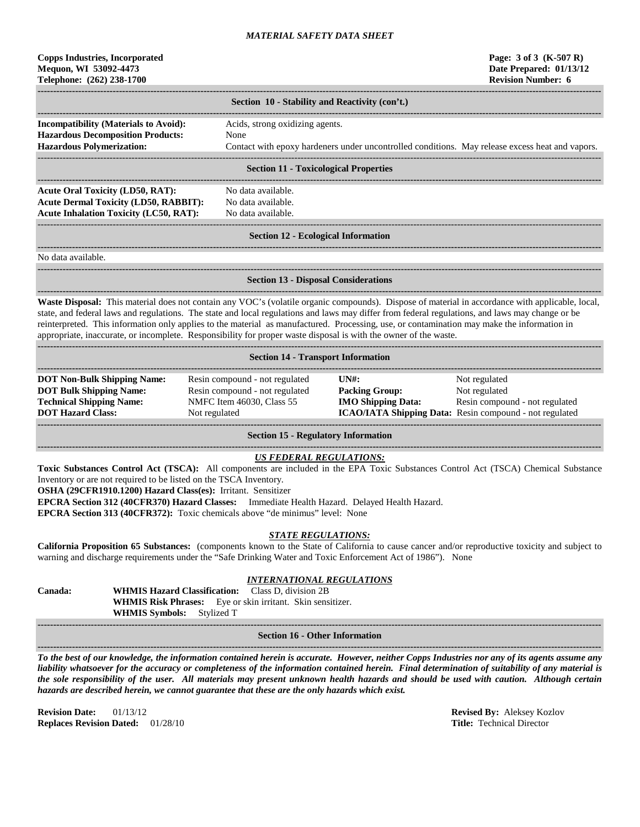## **Copps Industries, Incorporated Page: 3 of 3 (K-507 R) Mequon, WI 53092-4473 Date Prepared: 01/13/12 Telephone: (262) 238-1700 Revision Number: 6**

| Section 10 - Stability and Reactivity (con't.) |                                                                                                 |  |  |  |  |  |
|------------------------------------------------|-------------------------------------------------------------------------------------------------|--|--|--|--|--|
|                                                |                                                                                                 |  |  |  |  |  |
| <b>Incompatibility (Materials to Avoid):</b>   | Acids, strong oxidizing agents.                                                                 |  |  |  |  |  |
| <b>Hazardous Decomposition Products:</b>       | None                                                                                            |  |  |  |  |  |
| <b>Hazardous Polymerization:</b>               | Contact with epoxy hardeners under uncontrolled conditions. May release excess heat and vapors. |  |  |  |  |  |
|                                                |                                                                                                 |  |  |  |  |  |
|                                                | <b>Section 11 - Toxicological Properties</b>                                                    |  |  |  |  |  |
|                                                |                                                                                                 |  |  |  |  |  |
| Acute Oral Toxicity (LD50, RAT):               | No data available.                                                                              |  |  |  |  |  |
| <b>Acute Dermal Toxicity (LD50, RABBIT):</b>   | No data available.                                                                              |  |  |  |  |  |
| <b>Acute Inhalation Toxicity (LC50, RAT):</b>  | No data available.                                                                              |  |  |  |  |  |

#### ------------------------------------------------------------------------------------------------------------------------------------------------------------------------------------ **Section 12 - Ecological Information**

**------------------------------------------------------------------------------------------------------------------------------------------------------------------------------------**

No data available.

**------------------------------------------------------------------------------------------------------------------------------------------------------------------------------------**

**Section 13 - Disposal Considerations**

**------------------------------------------------------------------------------------------------------------------------------------------------------------------------------------ Waste Disposal:** This material does not contain any VOC's (volatile organic compounds). Dispose of material in accordance with applicable, local, state, and federal laws and regulations. The state and local regulations and laws may differ from federal regulations, and laws may change or be reinterpreted. This information only applies to the material as manufactured. Processing, use, or contamination may make the information in appropriate, inaccurate, or incomplete. Responsibility for proper waste disposal is with the owner of the waste.

| <b>Section 14 - Transport Information</b>                                                                                           |                                                                                                                |                                                             |                                                                                                                                    |  |  |  |  |
|-------------------------------------------------------------------------------------------------------------------------------------|----------------------------------------------------------------------------------------------------------------|-------------------------------------------------------------|------------------------------------------------------------------------------------------------------------------------------------|--|--|--|--|
| <b>DOT Non-Bulk Shipping Name:</b><br><b>DOT Bulk Shipping Name:</b><br><b>Technical Shipping Name:</b><br><b>DOT Hazard Class:</b> | Resin compound - not regulated<br>Resin compound - not regulated<br>NMFC Item 46030, Class 55<br>Not regulated | IINH:<br><b>Packing Group:</b><br><b>IMO Shipping Data:</b> | Not regulated<br>Not regulated<br>Resin compound - not regulated<br><b>ICAO/IATA Shipping Data:</b> Resin compound - not regulated |  |  |  |  |

**Section 15 - Regulatory Information**

#### **------------------------------------------------------------------------------------------------------------------------------------------------------------------------------------** *US FEDERAL REGULATIONS:*

**Toxic Substances Control Act (TSCA):** All components are included in the EPA Toxic Substances Control Act (TSCA) Chemical Substance Inventory or are not required to be listed on the TSCA Inventory.

**OSHA (29CFR1910.1200) Hazard Class(es):** Irritant. Sensitizer

**EPCRA Section 312 (40CFR370) Hazard Classes:** Immediate Health Hazard. Delayed Health Hazard.

**EPCRA Section 313 (40CFR372):** Toxic chemicals above "de minimus" level: None

## *STATE REGULATIONS:*

**California Proposition 65 Substances:** (components known to the State of California to cause cancer and/or reproductive toxicity and subject to warning and discharge requirements under the "Safe Drinking Water and Toxic Enforcement Act of 1986"). None

## *INTERNATIONAL REGULATIONS*

**Canada: WHMIS Hazard Classification:** Class D, division 2B **WHMIS Risk Phrases:** Eye or skin irritant. Skin sensitizer. **WHMIS Symbols:** Stylized T

### **------------------------------------------------------------------------------------------------------------------------------------------------------------------------------------ Section 16 - Other Information**

**------------------------------------------------------------------------------------------------------------------------------------------------------------------------------------**

*To the best of our knowledge, the information contained herein is accurate. However, neither Copps Industries nor any of its agents assume any liability whatsoever for the accuracy or completeness of the information contained herein. Final determination of suitability of any material is the sole responsibility of the user. All materials may present unknown health hazards and should be used with caution. Although certain hazards are described herein, we cannot guarantee that these are the only hazards which exist.*

**Revision Date:** 01/13/12 **Revised By:** Aleksey Kozlov **Revised By:** Aleksey Kozlov **Replaces Revised By:** Aleksey Kozlov **Replaces Revision Dated:** 01/28/10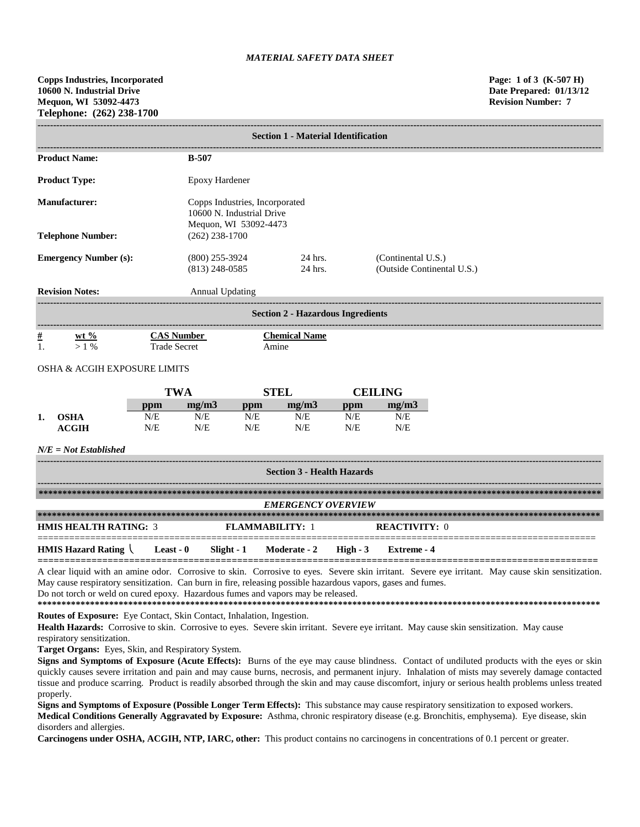|                                         | <b>Section 1 - Material Identification</b> |                                           |                                                             |                                          |     |                    |                            |  |
|-----------------------------------------|--------------------------------------------|-------------------------------------------|-------------------------------------------------------------|------------------------------------------|-----|--------------------|----------------------------|--|
| <b>Product Name:</b>                    |                                            | $B-507$                                   |                                                             |                                          |     |                    |                            |  |
| <b>Product Type:</b>                    |                                            |                                           | <b>Epoxy Hardener</b>                                       |                                          |     |                    |                            |  |
| <b>Manufacturer:</b>                    |                                            |                                           | Copps Industries, Incorporated<br>10600 N. Industrial Drive |                                          |     |                    |                            |  |
| <b>Telephone Number:</b>                |                                            | Mequon, WI 53092-4473<br>$(262)$ 238-1700 |                                                             |                                          |     |                    |                            |  |
| <b>Emergency Number (s):</b>            |                                            | $(800)$ 255-3924<br>$(813)$ 248-0585      |                                                             | 24 hrs.<br>24 hrs.                       |     | (Continental U.S.) | (Outside Continental U.S.) |  |
| <b>Revision Notes:</b>                  |                                            | Annual Updating                           |                                                             |                                          |     |                    |                            |  |
|                                         |                                            |                                           |                                                             | <b>Section 2 - Hazardous Ingredients</b> |     |                    |                            |  |
| $\#$<br>wt $\%$<br>1.<br>$>1\%$         |                                            | <b>CAS Number</b><br><b>Trade Secret</b>  |                                                             | <b>Chemical Name</b><br>Amine            |     |                    |                            |  |
| <b>OSHA &amp; ACGIH EXPOSURE LIMITS</b> |                                            |                                           |                                                             |                                          |     |                    |                            |  |
|                                         |                                            | <b>TWA</b>                                |                                                             | <b>STEL</b>                              |     | <b>CEILING</b>     |                            |  |
|                                         | ppm                                        | mg/m3                                     | ppm                                                         | mg/m3                                    | ppm | mg/m3              |                            |  |
| <b>OSHA</b><br>1.                       | N/E                                        | N/E                                       | N/E                                                         | N/E                                      | N/E | N/E                |                            |  |
| <b>ACGIH</b>                            | N/E                                        | N/E                                       | N/E                                                         | N/E                                      | N/E | N/E                |                            |  |
| $N/E = Not$ <i>Established</i>          |                                            |                                           |                                                             |                                          |     |                    |                            |  |
|                                         |                                            |                                           |                                                             | <b>Section 3 - Health Hazards</b>        |     |                    |                            |  |
|                                         |                                            |                                           |                                                             |                                          |     |                    |                            |  |
|                                         |                                            |                                           |                                                             | <b><i>EMERGENCY OVERVIEW</i></b>         |     |                    |                            |  |

| <i>EMERGENCI OVERVIEW</i>    |           |            |                        |          |               |
|------------------------------|-----------|------------|------------------------|----------|---------------|
|                              |           |            |                        |          |               |
| <b>HMIS HEALTH RATING: 3</b> |           |            | <b>FLAMMARILITY: 1</b> |          | REACTIVITY: 0 |
| <b>HMIS Hazard Rating</b>    | Least - 0 | Slight - 1 | Moderate - 2           | High - 3 | Extreme - 4   |

A clear liquid with an amine odor. Corrosive to skin. Corrosive to eyes. Severe skin irritant. Severe eye irritant. May cause skin sensitization. May cause respiratory sensitization. Can burn in fire, releasing possible hazardous vapors, gases and fumes. Do not torch or weld on cured epoxy. Hazardous fumes and vapors may be released.

**\*\*\*\*\*\*\*\*\*\*\*\*\*\*\*\*\*\*\*\*\*\*\*\*\*\*\*\*\*\*\*\*\*\*\*\*\*\*\*\*\*\*\*\*\*\*\*\*\*\*\*\*\*\*\*\*\*\*\*\*\*\*\*\*\*\*\*\*\*\*\*\*\*\*\*\*\*\*\*\*\*\*\*\*\*\*\*\*\*\*\*\*\*\*\*\*\*\*\*\*\*\*\*\*\*\*\*\*\*\*\*\*\*\*\*\*\*\***

**Routes of Exposure:** Eye Contact, Skin Contact, Inhalation, Ingestion.

**Health Hazards:** Corrosive to skin. Corrosive to eyes. Severe skin irritant. Severe eye irritant. May cause skin sensitization. May cause respiratory sensitization.

**Target Organs:** Eyes, Skin, and Respiratory System.

**Signs and Symptoms of Exposure (Acute Effects):** Burns of the eye may cause blindness. Contact of undiluted products with the eyes or skin quickly causes severe irritation and pain and may cause burns, necrosis, and permanent injury. Inhalation of mists may severely damage contacted tissue and produce scarring. Product is readily absorbed through the skin and may cause discomfort, injury or serious health problems unless treated properly.

**Signs and Symptoms of Exposure (Possible Longer Term Effects):** This substance may cause respiratory sensitization to exposed workers. **Medical Conditions Generally Aggravated by Exposure:** Asthma, chronic respiratory disease (e.g. Bronchitis, emphysema). Eye disease, skin disorders and allergies.

**Carcinogens under OSHA, ACGIH, NTP, IARC, other:** This product contains no carcinogens in concentrations of 0.1 percent or greater.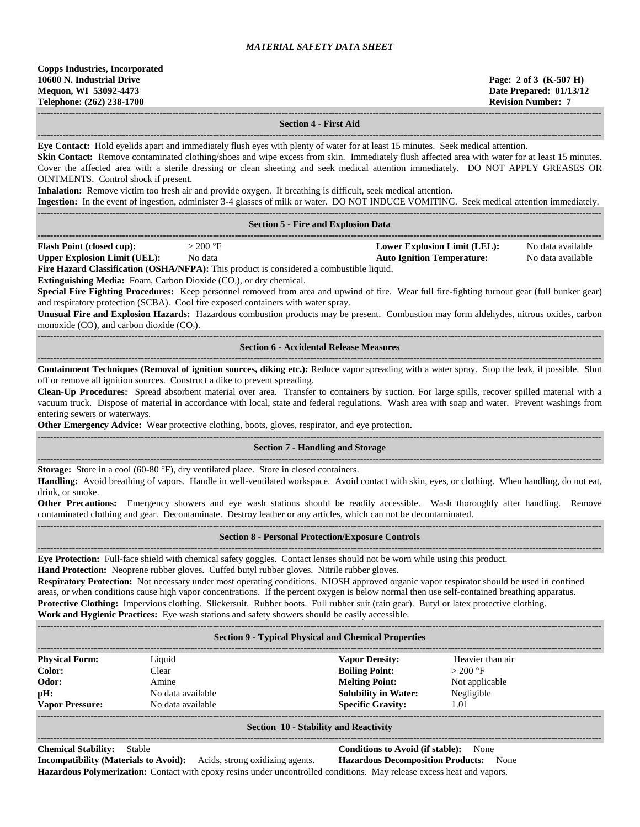**Copps Industries, Incorporated 10600 N. Industrial Drive Page: 2 of 3 (K-507 H) Mequon, WI 53092-4473 Date Prepared: 01/13/12 Telephone: (262) 238-1700 Revision Number: 7**

**------------------------------------------------------------------------------------------------------------------------------------------------------------------------------------ Section 4 - First Aid**

**------------------------------------------------------------------------------------------------------------------------------------------------------------------------------------ Eye Contact:** Hold eyelids apart and immediately flush eyes with plenty of water for at least 15 minutes. Seek medical attention. **Skin Contact:** Remove contaminated clothing/shoes and wipe excess from skin. Immediately flush affected area with water for at least 15 minutes. Cover the affected area with a sterile dressing or clean sheeting and seek medical attention immediately. DO NOT APPLY GREASES OR OINTMENTS. Control shock if present. **Inhalation:** Remove victim too fresh air and provide oxygen. If breathing is difficult, seek medical attention. **Ingestion:** In the event of ingestion, administer 3-4 glasses of milk or water. DO NOT INDUCE VOMITING. Seek medical attention immediately. **------------------------------------------------------------------------------------------------------------------------------------------------------------------------------------ Section 5 - Fire and Explosion Data ------------------------------------------------------------------------------------------------------------------------------------------------------------------------------------ Flash Point (closed cup):**  $> 200 \text{ °F}$  **Lower Explosion Limit (LEL):** No data available **Upper Explosion Limit (UEL):** No data **Auto Ignition Temperature:** No data available **Fire Hazard Classification (OSHA/NFPA):** This product is considered a combustible liquid. **Extinguishing Media:** Foam, Carbon Dioxide (CO<sub>2</sub>), or dry chemical. **Special Fire Fighting Procedures:** Keep personnel removed from area and upwind of fire. Wear full fire-fighting turnout gear (full bunker gear) and respiratory protection (SCBA). Cool fire exposed containers with water spray. **Unusual Fire and Explosion Hazards:** Hazardous combustion products may be present. Combustion may form aldehydes, nitrous oxides, carbon monoxide  $(CO)$ , and carbon dioxide  $(CO<sub>2</sub>)$ . **------------------------------------------------------------------------------------------------------------------------------------------------------------------------------------ Section 6 - Accidental Release Measures ------------------------------------------------------------------------------------------------------------------------------------------------------------------------------------ Containment Techniques (Removal of ignition sources, diking etc.):** Reduce vapor spreading with a water spray. Stop the leak, if possible. Shut off or remove all ignition sources. Construct a dike to prevent spreading. **Clean-Up Procedures:** Spread absorbent material over area. Transfer to containers by suction. For large spills, recover spilled material with a vacuum truck. Dispose of material in accordance with local, state and federal regulations. Wash area with soap and water. Prevent washings from entering sewers or waterways. **Other Emergency Advice:** Wear protective clothing, boots, gloves, respirator, and eye protection. **------------------------------------------------------------------------------------------------------------------------------------------------------------------------------------ Section 7 - Handling and Storage ------------------------------------------------------------------------------------------------------------------------------------------------------------------------------------ Storage:** Store in a cool (60-80 °F), dry ventilated place. Store in closed containers. **Handling:** Avoid breathing of vapors. Handle in well-ventilated workspace. Avoid contact with skin, eyes, or clothing. When handling, do not eat, drink, or smoke. **Other Precautions:** Emergency showers and eye wash stations should be readily accessible. Wash thoroughly after handling. Remove contaminated clothing and gear. Decontaminate. Destroy leather or any articles, which can not be decontaminated. **------------------------------------------------------------------------------------------------------------------------------------------------------------------------------------ Section 8 - Personal Protection/Exposure Controls ------------------------------------------------------------------------------------------------------------------------------------------------------------------------------------ Eye Protection:** Full-face shield with chemical safety goggles. Contact lenses should not be worn while using this product. **Hand Protection:** Neoprene rubber gloves. Cuffed butyl rubber gloves. Nitrile rubber gloves. **Respiratory Protection:** Not necessary under most operating conditions. NIOSH approved organic vapor respirator should be used in confined areas, or when conditions cause high vapor concentrations. If the percent oxygen is below normal then use self-contained breathing apparatus. **Protective Clothing:** Impervious clothing. Slickersuit. Rubber boots. Full rubber suit (rain gear). Butyl or latex protective clothing. **Work and Hygienic Practices:** Eye wash stations and safety showers should be easily accessible. **------------------------------------------------------------------------------------------------------------------------------------------------------------------------------------ Section 9 - Typical Physical and Chemical Properties ------------------------------------------------------------------------------------------------------------------------------------------------------------------------------------ Physical Form:** Liquid **Vapor Density:** Heavier than air **Color:** Clear **Clear <b>Boiling Point:**  $> 200 \text{ }^{\circ}\text{F}$ **Odor:** Amine **Melting Point:** Not applicable **pH: No data available <b>Solubility in Water:** Negligible **Negligible Solubility in Water:** Negligible **Vapor Pressure:** No data available **Specific Gravity:** 1.01 **------------------------------------------------------------------------------------------------------------------------------------------------------------------------------------ Section 10 - Stability and Reactivity ------------------------------------------------------------------------------------------------------------------------------------------------------------------------------------**

# **Chemical Stability:** Stable **Conditions to Avoid (if stable):** None

**Incompatibility (Materials to Avoid):** Acids, strong oxidizing agents. **Hazardous Decomposition Products:** None **Hazardous Polymerization:** Contact with epoxy resins under uncontrolled conditions. May release excess heat and vapors.